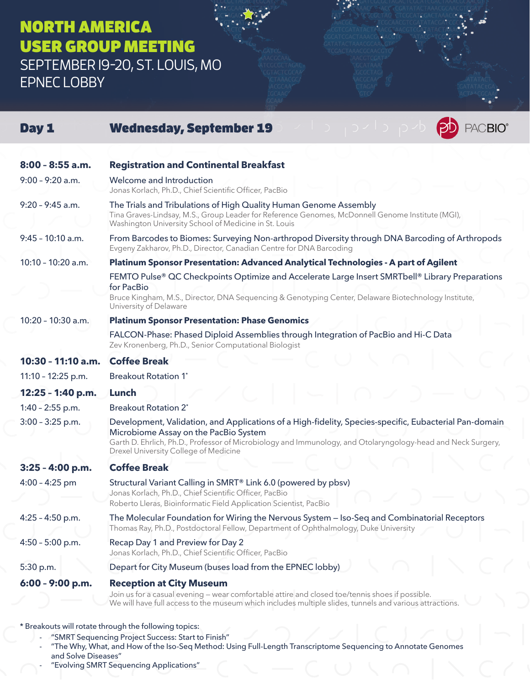## NORTH AMERICA USER GROUP MEETING SEPTEMBER 19-20, ST. LOUIS, MO

EPNEC LOBBY

| Day 1                                                 | <b>ACBIO®</b><br><b>Wednesday, September 19</b>                                                                                                                                                                                                                                                          |  |
|-------------------------------------------------------|----------------------------------------------------------------------------------------------------------------------------------------------------------------------------------------------------------------------------------------------------------------------------------------------------------|--|
| $8:00 - 8:55$ a.m.                                    | <b>Registration and Continental Breakfast</b>                                                                                                                                                                                                                                                            |  |
| $9:00 - 9:20$ a.m.                                    | Welcome and Introduction<br>Jonas Korlach, Ph.D., Chief Scientific Officer, PacBio                                                                                                                                                                                                                       |  |
| $9:20 - 9:45$ a.m.                                    | The Trials and Tribulations of High Quality Human Genome Assembly<br>Tina Graves-Lindsay, M.S., Group Leader for Reference Genomes, McDonnell Genome Institute (MGI),<br>Washington University School of Medicine in St. Louis                                                                           |  |
| $9:45 - 10:10$ a.m.                                   | From Barcodes to Biomes: Surveying Non-arthropod Diversity through DNA Barcoding of Arthropods<br>Evgeny Zakharov, Ph.D., Director, Canadian Centre for DNA Barcoding                                                                                                                                    |  |
| 10:10 - 10:20 a.m.                                    | Platinum Sponsor Presentation: Advanced Analytical Technologies - A part of Agilent                                                                                                                                                                                                                      |  |
|                                                       | FEMTO Pulse® QC Checkpoints Optimize and Accelerate Large Insert SMRTbell® Library Preparations<br>for PacBio<br>Bruce Kingham, M.S., Director, DNA Sequencing & Genotyping Center, Delaware Biotechnology Institute,<br>University of Delaware                                                          |  |
| 10:20 - 10:30 a.m.                                    | <b>Platinum Sponsor Presentation: Phase Genomics</b>                                                                                                                                                                                                                                                     |  |
|                                                       | FALCON-Phase: Phased Diploid Assemblies through Integration of PacBio and Hi-C Data<br>Zev Kronenberg, Ph.D., Senior Computational Biologist                                                                                                                                                             |  |
| 10:30 - 11:10 a.m.                                    | <b>Coffee Break</b>                                                                                                                                                                                                                                                                                      |  |
| 11:10 - 12:25 p.m.                                    | <b>Breakout Rotation 1*</b>                                                                                                                                                                                                                                                                              |  |
| 12:25 - 1:40 p.m.                                     | Lunch                                                                                                                                                                                                                                                                                                    |  |
| $1:40 - 2:55$ p.m.                                    | <b>Breakout Rotation 2*</b>                                                                                                                                                                                                                                                                              |  |
| $3:00 - 3:25$ p.m.                                    | Development, Validation, and Applications of a High-fidelity, Species-specific, Eubacterial Pan-domain<br>Microbiome Assay on the PacBio System<br>Garth D. Ehrlich, Ph.D., Professor of Microbiology and Immunology, and Otolaryngology-head and Neck Surgery,<br>Drexel University College of Medicine |  |
| 3:25 - 4:00 p.m.                                      | <b>Coffee Break</b>                                                                                                                                                                                                                                                                                      |  |
| $4:00 - 4:25$ pm                                      | Structural Variant Calling in SMRT <sup>®</sup> Link 6.0 (powered by pbsv)<br>Jonas Korlach, Ph.D., Chief Scientific Officer, PacBio<br>Roberto Lleras, Bioinformatic Field Application Scientist, PacBio                                                                                                |  |
| $4:25 - 4:50$ p.m.                                    | The Molecular Foundation for Wiring the Nervous System – Iso-Seq and Combinatorial Receptors<br>Thomas Ray, Ph.D., Postdoctoral Fellow, Department of Ophthalmology, Duke University                                                                                                                     |  |
| $4:50 - 5:00$ p.m.                                    | Recap Day 1 and Preview for Day 2<br>Jonas Korlach, Ph.D., Chief Scientific Officer, PacBio                                                                                                                                                                                                              |  |
| 5:30 p.m.                                             | Depart for City Museum (buses load from the EPNEC lobby)                                                                                                                                                                                                                                                 |  |
| 6:00 - 9:00 p.m.                                      | <b>Reception at City Museum</b><br>Join us for a casual evening - wear comfortable attire and closed toe/tennis shoes if possible.<br>We will have full access to the museum which includes multiple slides, tunnels and various attractions.                                                            |  |
| * Breakouts will rotate through the following topics: |                                                                                                                                                                                                                                                                                                          |  |

- "SMRT Sequencing Project Success: Start to Finish"
- "The Why, What, and How of the Iso-Seq Method: Using Full-Length Transcriptome Sequencing to Annotate Genomes and Solve Diseases"
- "Evolving SMRT Sequencing Applications"